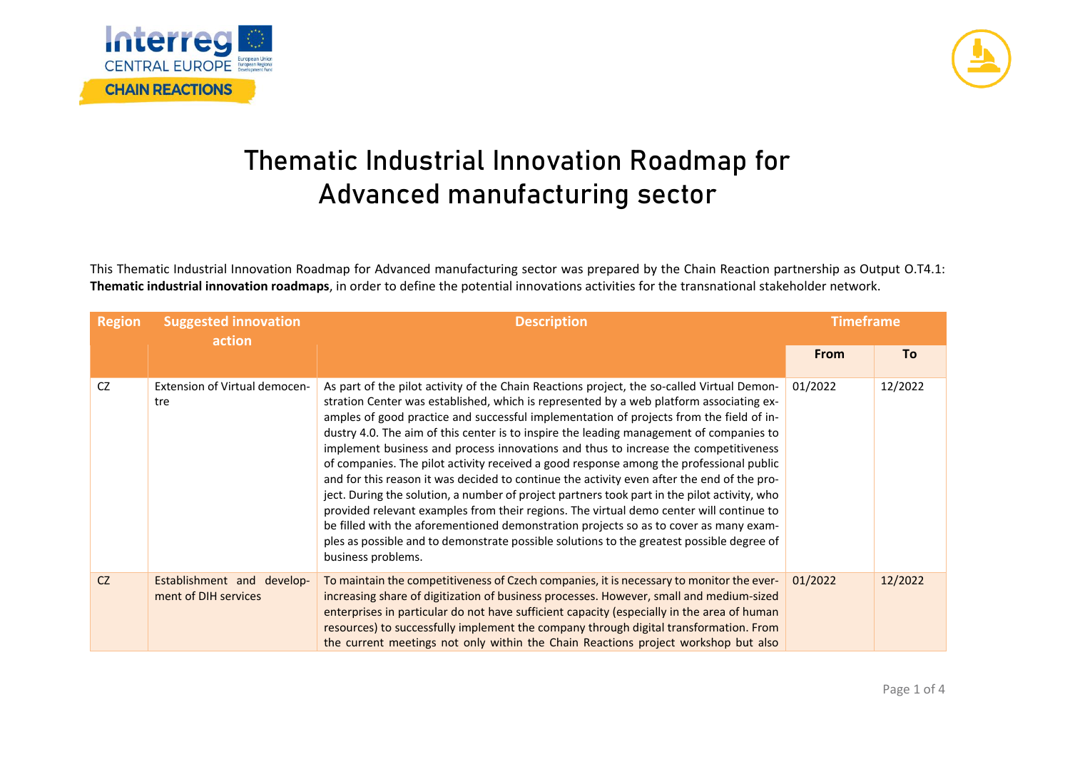



## **Thematic Industrial Innovation Roadmap for Advanced manufacturing sector**

This Thematic Industrial Innovation Roadmap for Advanced manufacturing sector was prepared by the Chain Reaction partnership as Output O.T4.1: **Thematic industrial innovation roadmaps**, in order to define the potential innovations activities for the transnational stakeholder network.

| <b>Region</b> | <b>Suggested innovation</b><br>action              | <b>Description</b>                                                                                                                                                                                                                                                                                                                                                                                                                                                                                                                                                                                                                                                                                                                                                                                                                                                                                                                                                                                                                                                 | <b>Timeframe</b> |         |
|---------------|----------------------------------------------------|--------------------------------------------------------------------------------------------------------------------------------------------------------------------------------------------------------------------------------------------------------------------------------------------------------------------------------------------------------------------------------------------------------------------------------------------------------------------------------------------------------------------------------------------------------------------------------------------------------------------------------------------------------------------------------------------------------------------------------------------------------------------------------------------------------------------------------------------------------------------------------------------------------------------------------------------------------------------------------------------------------------------------------------------------------------------|------------------|---------|
|               |                                                    |                                                                                                                                                                                                                                                                                                                                                                                                                                                                                                                                                                                                                                                                                                                                                                                                                                                                                                                                                                                                                                                                    | <b>From</b>      | To      |
| CZ            | Extension of Virtual democen-<br>tre               | As part of the pilot activity of the Chain Reactions project, the so-called Virtual Demon-<br>stration Center was established, which is represented by a web platform associating ex-<br>amples of good practice and successful implementation of projects from the field of in-<br>dustry 4.0. The aim of this center is to inspire the leading management of companies to<br>implement business and process innovations and thus to increase the competitiveness<br>of companies. The pilot activity received a good response among the professional public<br>and for this reason it was decided to continue the activity even after the end of the pro-<br>ject. During the solution, a number of project partners took part in the pilot activity, who<br>provided relevant examples from their regions. The virtual demo center will continue to<br>be filled with the aforementioned demonstration projects so as to cover as many exam-<br>ples as possible and to demonstrate possible solutions to the greatest possible degree of<br>business problems. | 01/2022          | 12/2022 |
| CZ            | Establishment and develop-<br>ment of DIH services | To maintain the competitiveness of Czech companies, it is necessary to monitor the ever-<br>increasing share of digitization of business processes. However, small and medium-sized<br>enterprises in particular do not have sufficient capacity (especially in the area of human<br>resources) to successfully implement the company through digital transformation. From<br>the current meetings not only within the Chain Reactions project workshop but also                                                                                                                                                                                                                                                                                                                                                                                                                                                                                                                                                                                                   | 01/2022          | 12/2022 |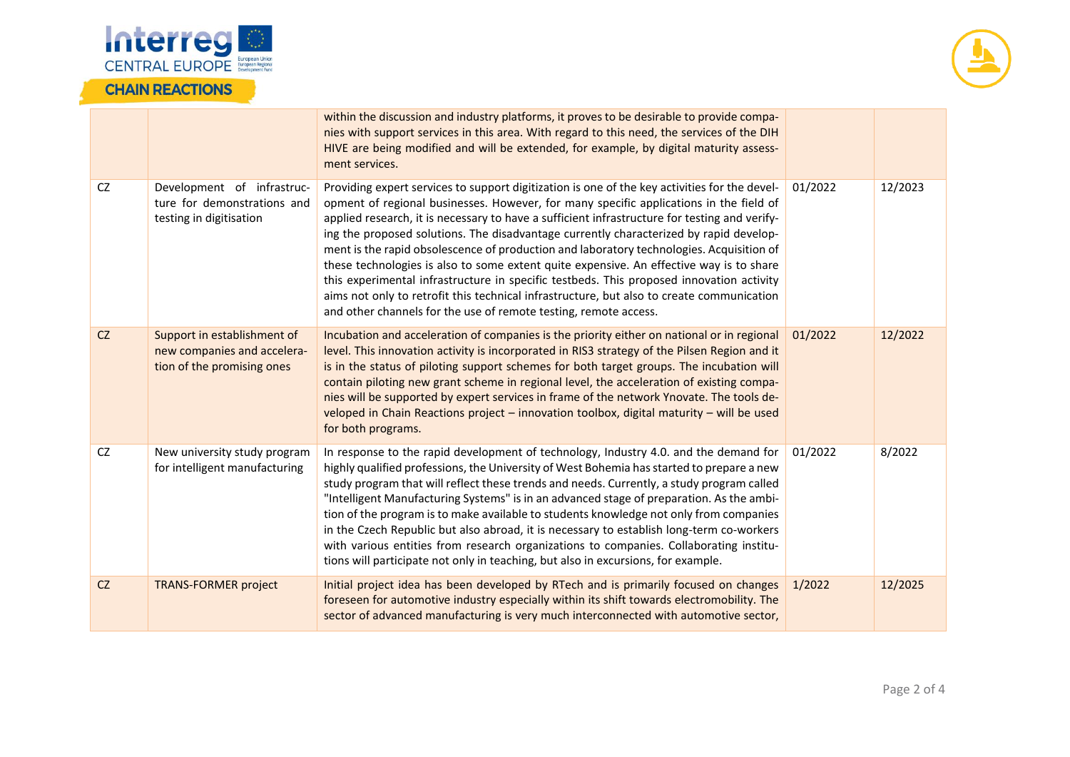



|           |                                                                                          | within the discussion and industry platforms, it proves to be desirable to provide compa-<br>nies with support services in this area. With regard to this need, the services of the DIH<br>HIVE are being modified and will be extended, for example, by digital maturity assess-<br>ment services.                                                                                                                                                                                                                                                                                                                                                                                                                                                                                                                                    |         |         |
|-----------|------------------------------------------------------------------------------------------|----------------------------------------------------------------------------------------------------------------------------------------------------------------------------------------------------------------------------------------------------------------------------------------------------------------------------------------------------------------------------------------------------------------------------------------------------------------------------------------------------------------------------------------------------------------------------------------------------------------------------------------------------------------------------------------------------------------------------------------------------------------------------------------------------------------------------------------|---------|---------|
| <b>CZ</b> | Development of infrastruc-<br>ture for demonstrations and<br>testing in digitisation     | Providing expert services to support digitization is one of the key activities for the devel-<br>opment of regional businesses. However, for many specific applications in the field of<br>applied research, it is necessary to have a sufficient infrastructure for testing and verify-<br>ing the proposed solutions. The disadvantage currently characterized by rapid develop-<br>ment is the rapid obsolescence of production and laboratory technologies. Acquisition of<br>these technologies is also to some extent quite expensive. An effective way is to share<br>this experimental infrastructure in specific testbeds. This proposed innovation activity<br>aims not only to retrofit this technical infrastructure, but also to create communication<br>and other channels for the use of remote testing, remote access. | 01/2022 | 12/2023 |
| CZ        | Support in establishment of<br>new companies and accelera-<br>tion of the promising ones | Incubation and acceleration of companies is the priority either on national or in regional<br>level. This innovation activity is incorporated in RIS3 strategy of the Pilsen Region and it<br>is in the status of piloting support schemes for both target groups. The incubation will<br>contain piloting new grant scheme in regional level, the acceleration of existing compa-<br>nies will be supported by expert services in frame of the network Ynovate. The tools de-<br>veloped in Chain Reactions project - innovation toolbox, digital maturity - will be used<br>for both programs.                                                                                                                                                                                                                                       | 01/2022 | 12/2022 |
| <b>CZ</b> | New university study program<br>for intelligent manufacturing                            | In response to the rapid development of technology, Industry 4.0. and the demand for<br>highly qualified professions, the University of West Bohemia has started to prepare a new<br>study program that will reflect these trends and needs. Currently, a study program called<br>"Intelligent Manufacturing Systems" is in an advanced stage of preparation. As the ambi-<br>tion of the program is to make available to students knowledge not only from companies<br>in the Czech Republic but also abroad, it is necessary to establish long-term co-workers<br>with various entities from research organizations to companies. Collaborating institu-<br>tions will participate not only in teaching, but also in excursions, for example.                                                                                        | 01/2022 | 8/2022  |
| CZ        | <b>TRANS-FORMER project</b>                                                              | Initial project idea has been developed by RTech and is primarily focused on changes<br>foreseen for automotive industry especially within its shift towards electromobility. The<br>sector of advanced manufacturing is very much interconnected with automotive sector,                                                                                                                                                                                                                                                                                                                                                                                                                                                                                                                                                              | 1/2022  | 12/2025 |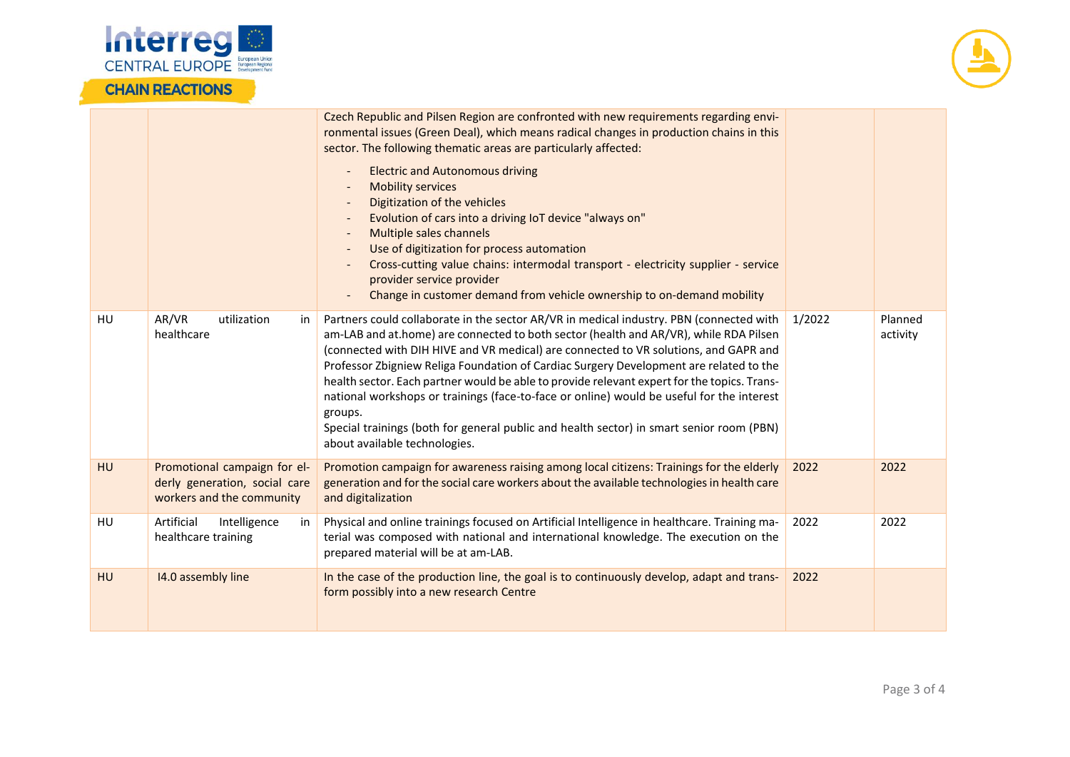

## **CHAIN REACTIONS**



|    |                                                                                            | Czech Republic and Pilsen Region are confronted with new requirements regarding envi-<br>ronmental issues (Green Deal), which means radical changes in production chains in this<br>sector. The following thematic areas are particularly affected:<br><b>Electric and Autonomous driving</b><br>$\overline{\phantom{a}}$<br><b>Mobility services</b><br>Digitization of the vehicles<br>$\overline{\phantom{a}}$<br>Evolution of cars into a driving IoT device "always on"<br>Multiple sales channels<br>Use of digitization for process automation<br>Cross-cutting value chains: intermodal transport - electricity supplier - service<br>provider service provider<br>Change in customer demand from vehicle ownership to on-demand mobility |        |                     |
|----|--------------------------------------------------------------------------------------------|---------------------------------------------------------------------------------------------------------------------------------------------------------------------------------------------------------------------------------------------------------------------------------------------------------------------------------------------------------------------------------------------------------------------------------------------------------------------------------------------------------------------------------------------------------------------------------------------------------------------------------------------------------------------------------------------------------------------------------------------------|--------|---------------------|
| HU | AR/VR<br>utilization<br>in<br>healthcare                                                   | Partners could collaborate in the sector AR/VR in medical industry. PBN (connected with<br>am-LAB and at.home) are connected to both sector (health and AR/VR), while RDA Pilsen<br>(connected with DIH HIVE and VR medical) are connected to VR solutions, and GAPR and<br>Professor Zbigniew Religa Foundation of Cardiac Surgery Development are related to the<br>health sector. Each partner would be able to provide relevant expert for the topics. Trans-<br>national workshops or trainings (face-to-face or online) would be useful for the interest<br>groups.<br>Special trainings (both for general public and health sector) in smart senior room (PBN)<br>about available technologies.                                            | 1/2022 | Planned<br>activity |
| HU | Promotional campaign for el-<br>derly generation, social care<br>workers and the community | Promotion campaign for awareness raising among local citizens: Trainings for the elderly<br>generation and for the social care workers about the available technologies in health care<br>and digitalization                                                                                                                                                                                                                                                                                                                                                                                                                                                                                                                                      | 2022   | 2022                |
| HU | Artificial<br>Intelligence<br>in<br>healthcare training                                    | Physical and online trainings focused on Artificial Intelligence in healthcare. Training ma-<br>terial was composed with national and international knowledge. The execution on the<br>prepared material will be at am-LAB.                                                                                                                                                                                                                                                                                                                                                                                                                                                                                                                       | 2022   | 2022                |
| HU | 14.0 assembly line                                                                         | In the case of the production line, the goal is to continuously develop, adapt and trans-<br>form possibly into a new research Centre                                                                                                                                                                                                                                                                                                                                                                                                                                                                                                                                                                                                             | 2022   |                     |